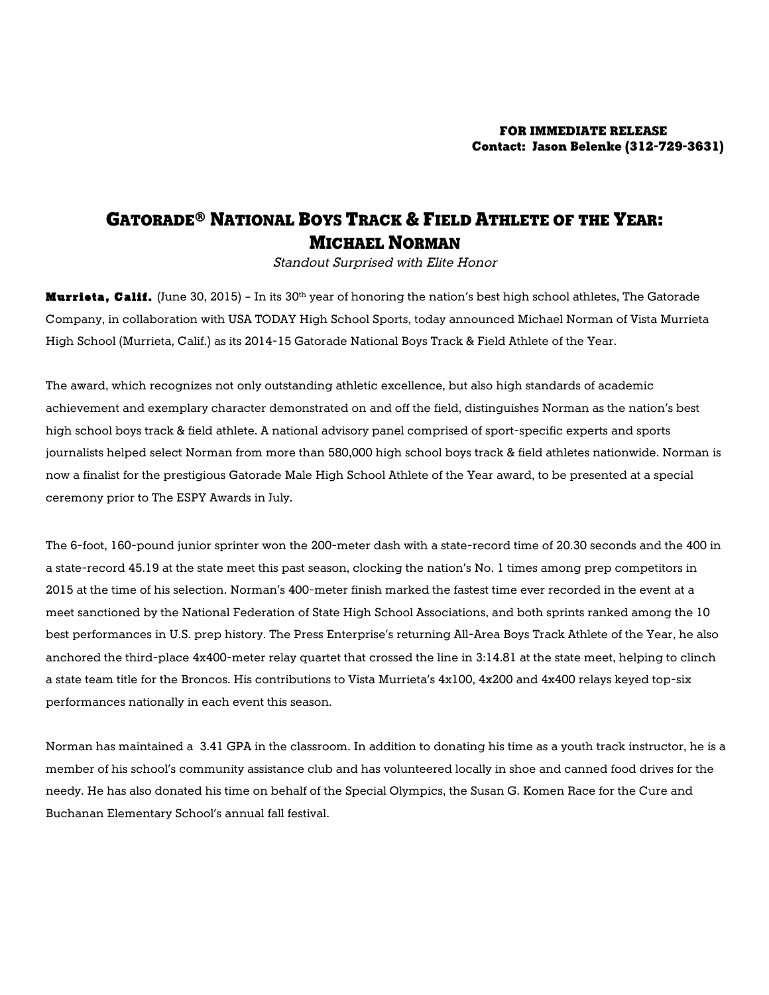## GATORADE® NATIONAL BOYS TRACK & FIELD ATHLETE OF THE YEAR: MICHAEL NORMAN

Standout Surprised with Elite Honor

Murrieta, Calif. (June 30, 2015) - In its 30<sup>th</sup> year of honoring the nation's best high school athletes, The Gatorade Company, in collaboration with USA TODAY High School Sports, today announced Michael Norman of Vista Murrieta High School (Murrieta, Calif.) as its 2014-15 Gatorade National Boys Track & Field Athlete of the Year.

The award, which recognizes not only outstanding athletic excellence, but also high standards of academic achievement and exemplary character demonstrated on and off the field, distinguishes Norman as the nation's best high school boys track & field athlete. A national advisory panel comprised of sport-specific experts and sports journalists helped select Norman from more than 580,000 high school boys track & field athletes nationwide. Norman is now a finalist for the prestigious Gatorade Male High School Athlete of the Year award, to be presented at a special ceremony prior to The ESPY Awards in July.

The 6-foot, 160-pound junior sprinter won the 200-meter dash with a state-record time of 20.30 seconds and the 400 in a state-record 45.19 at the state meet this past season, clocking the nation's No. 1 times among prep competitors in 2015 at the time of his selection. Norman's 400-meter finish marked the fastest time ever recorded in the event at a meet sanctioned by the National Federation of State High School Associations, and both sprints ranked among the 10 best performances in U.S. prep history. The Press Enterprise's returning All-Area Boys Track Athlete of the Year, he also anchored the third-place 4x400-meter relay quartet that crossed the line in 3:14.81 at the state meet, helping to clinch a state team title for the Broncos. His contributions to Vista Murrieta's 4x100, 4x200 and 4x400 relays keyed top-six performances nationally in each event this season.

Norman has maintained a 3.41 GPA in the classroom. In addition to donating his time as a youth track instructor, he is a member of his school's community assistance club and has volunteered locally in shoe and canned food drives for the needy. He has also donated his time on behalf of the Special Olympics, the Susan G. Komen Race for the Cure and Buchanan Elementary School's annual fall festival.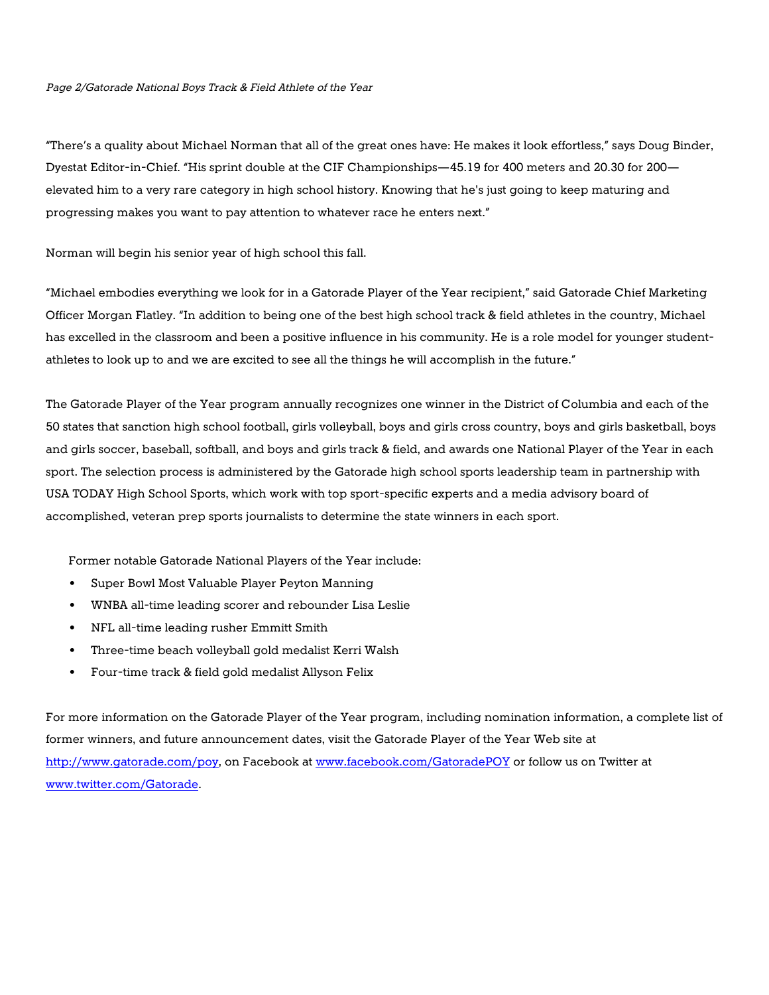## Page 2/Gatorade National Boys Track & Field Athlete of the Year

"There's a quality about Michael Norman that all of the great ones have: He makes it look effortless," says Doug Binder, Dyestat Editor-in-Chief. "His sprint double at the CIF Championships—45.19 for 400 meters and 20.30 for 200 elevated him to a very rare category in high school history. Knowing that he's just going to keep maturing and progressing makes you want to pay attention to whatever race he enters next."

Norman will begin his senior year of high school this fall.

"Michael embodies everything we look for in a Gatorade Player of the Year recipient," said Gatorade Chief Marketing Officer Morgan Flatley. "In addition to being one of the best high school track & field athletes in the country, Michael has excelled in the classroom and been a positive influence in his community. He is a role model for younger studentathletes to look up to and we are excited to see all the things he will accomplish in the future."

The Gatorade Player of the Year program annually recognizes one winner in the District of Columbia and each of the 50 states that sanction high school football, girls volleyball, boys and girls cross country, boys and girls basketball, boys and girls soccer, baseball, softball, and boys and girls track & field, and awards one National Player of the Year in each sport. The selection process is administered by the Gatorade high school sports leadership team in partnership with USA TODAY High School Sports, which work with top sport-specific experts and a media advisory board of accomplished, veteran prep sports journalists to determine the state winners in each sport.

Former notable Gatorade National Players of the Year include:

- Super Bowl Most Valuable Player Peyton Manning
- WNBA all-time leading scorer and rebounder Lisa Leslie
- NFL all-time leading rusher Emmitt Smith
- Three-time beach volleyball gold medalist Kerri Walsh
- Four-time track & field gold medalist Allyson Felix

For more information on the Gatorade Player of the Year program, including nomination information, a complete list of former winners, and future announcement dates, visit the Gatorade Player of the Year Web site at http://www.gatorade.com/poy, on Facebook at www.facebook.com/GatoradePOY or follow us on Twitter at www.twitter.com/Gatorade.